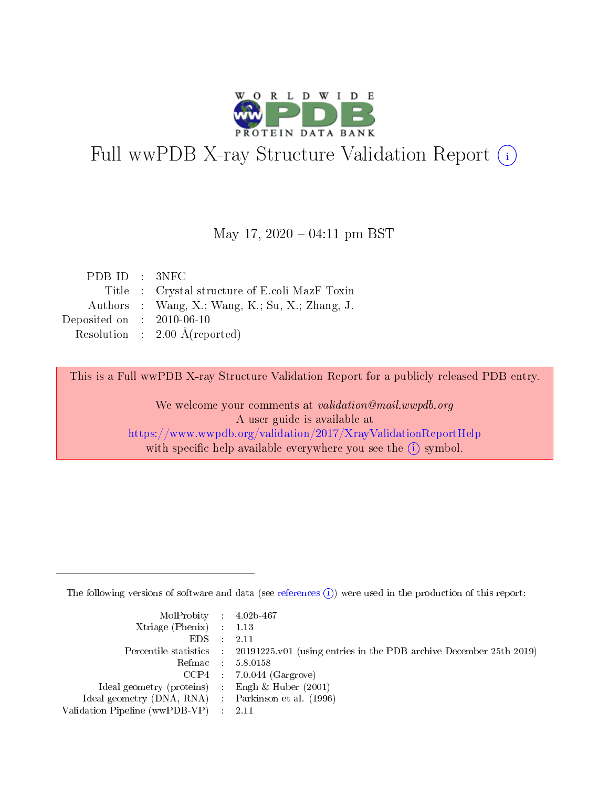

# Full wwPDB X-ray Structure Validation Report (i)

### May 17,  $2020 - 04:11$  pm BST

| PDB ID : 3NFC               |                                                 |
|-----------------------------|-------------------------------------------------|
|                             | Title : Crystal structure of E.coli MazF Toxin  |
|                             | Authors : Wang, X.; Wang, K.; Su, X.; Zhang, J. |
| Deposited on : $2010-06-10$ |                                                 |
|                             | Resolution : $2.00 \text{ Å}$ (reported)        |

This is a Full wwPDB X-ray Structure Validation Report for a publicly released PDB entry.

We welcome your comments at validation@mail.wwpdb.org A user guide is available at <https://www.wwpdb.org/validation/2017/XrayValidationReportHelp> with specific help available everywhere you see the  $(i)$  symbol.

The following versions of software and data (see [references](https://www.wwpdb.org/validation/2017/XrayValidationReportHelp#references)  $(i)$ ) were used in the production of this report:

| MolProbity : $4.02b-467$                            |                                                                                            |
|-----------------------------------------------------|--------------------------------------------------------------------------------------------|
| Xtriage (Phenix) $: 1.13$                           |                                                                                            |
| EDS -                                               | 2.11                                                                                       |
|                                                     | Percentile statistics : 20191225.v01 (using entries in the PDB archive December 25th 2019) |
|                                                     | Refmac 58.0158                                                                             |
|                                                     | $CCP4$ 7.0.044 (Gargrove)                                                                  |
| Ideal geometry (proteins) : Engh $\&$ Huber (2001)  |                                                                                            |
| Ideal geometry (DNA, RNA) : Parkinson et al. (1996) |                                                                                            |
| Validation Pipeline (wwPDB-VP)                      | -2.11                                                                                      |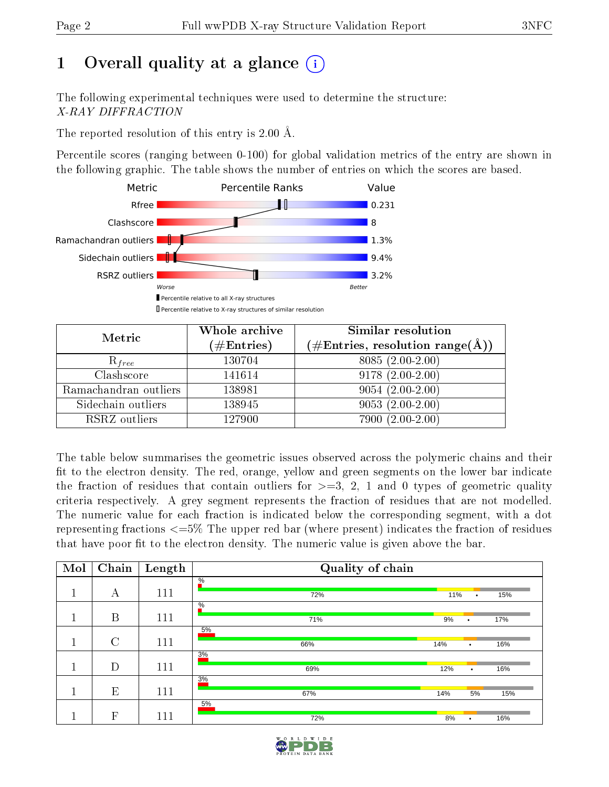# 1 [O](https://www.wwpdb.org/validation/2017/XrayValidationReportHelp#overall_quality)verall quality at a glance  $(i)$

The following experimental techniques were used to determine the structure: X-RAY DIFFRACTION

The reported resolution of this entry is 2.00 Å.

Percentile scores (ranging between 0-100) for global validation metrics of the entry are shown in the following graphic. The table shows the number of entries on which the scores are based.



| Metric                | Whole archive        | Similar resolution                                                     |
|-----------------------|----------------------|------------------------------------------------------------------------|
|                       | $(\#\text{Entries})$ | $(\#\text{Entries},\, \text{resolution}\; \text{range}(\textup{\AA}))$ |
| $R_{free}$            | 130704               | $8085(2.00-2.00)$                                                      |
| Clashscore            | 141614               | $9178(2.00-2.00)$                                                      |
| Ramachandran outliers | 138981               | $9054(2.00-2.00)$                                                      |
| Sidechain outliers    | 138945               | $9053(2.00-2.00)$                                                      |
| RSRZ outliers         | 127900               | $7900(2.00-2.00)$                                                      |

The table below summarises the geometric issues observed across the polymeric chains and their fit to the electron density. The red, orange, yellow and green segments on the lower bar indicate the fraction of residues that contain outliers for  $>=3, 2, 1$  and 0 types of geometric quality criteria respectively. A grey segment represents the fraction of residues that are not modelled. The numeric value for each fraction is indicated below the corresponding segment, with a dot representing fractions <=5% The upper red bar (where present) indicates the fraction of residues that have poor fit to the electron density. The numeric value is given above the bar.

| Mol | Chain        | Length | Quality of chain     |     |           |     |  |  |  |
|-----|--------------|--------|----------------------|-----|-----------|-----|--|--|--|
|     | А            | 111    | $\frac{0}{6}$<br>72% | 11% | $\bullet$ | 15% |  |  |  |
|     |              |        | $\frac{0}{6}$        |     |           |     |  |  |  |
|     | B            | 111    | 71%                  | 9%  | ٠         | 17% |  |  |  |
|     | $\rm C$      | 111    | 5%<br>66%            | 14% |           | 16% |  |  |  |
|     |              |        | 3%                   |     | $\bullet$ |     |  |  |  |
|     | D            | 111    | 69%                  | 12% | ٠         | 16% |  |  |  |
|     |              |        | 3%                   |     |           |     |  |  |  |
|     | E            | 111    | 67%                  | 14% | 5%        | 15% |  |  |  |
|     | $\mathbf{F}$ | 111    | 5%                   |     |           |     |  |  |  |
|     |              |        | 72%                  | 8%  | $\bullet$ | 16% |  |  |  |

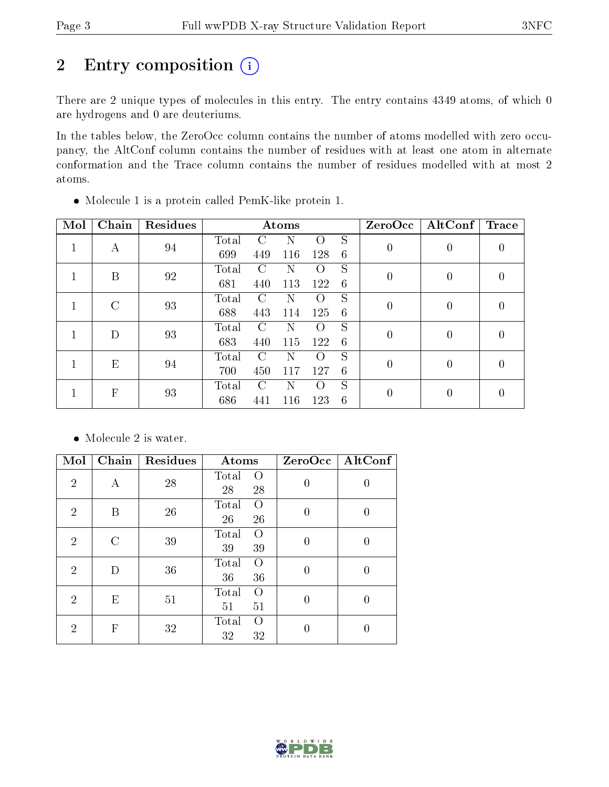# 2 Entry composition (i)

There are 2 unique types of molecules in this entry. The entry contains 4349 atoms, of which 0 are hydrogens and 0 are deuteriums.

In the tables below, the ZeroOcc column contains the number of atoms modelled with zero occupancy, the AltConf column contains the number of residues with at least one atom in alternate conformation and the Trace column contains the number of residues modelled with at most 2 atoms.

| Mol | Chain          | Residues |       |        | Atoms |                    |   | ZeroOcc  | AltConf  | Trace |
|-----|----------------|----------|-------|--------|-------|--------------------|---|----------|----------|-------|
|     | А              | 94       | Total | C      | N     | Ω                  | S | 0        | $\theta$ |       |
|     |                |          | 699   | 449    | 116   | 128                | 6 |          |          |       |
|     | B              | 92       | Total | C      | N     | $\left( \ \right)$ | S | $\theta$ | $\theta$ |       |
|     |                |          | 681   | 440    | 113   | 122                | 6 |          |          |       |
|     | $\mathcal{C}$  | 93       | Total | $\cap$ | N     | $\left( \right)$   | S | 0        | $\theta$ |       |
|     |                |          | 688   | 443    | 114   | 125                | 6 |          |          |       |
|     | D              | 93       | Total | $\cap$ | N     | $\left( \ \right)$ | S | $\Omega$ | $\Omega$ |       |
|     |                |          | 683   | 440    | 115   | 122                | 6 |          |          |       |
|     | E              | 94       | Total | C      | N     | $\left( \ \right)$ | S | $\Omega$ | $\theta$ |       |
|     |                |          | 700   | 450    | 117   | 127                | 6 |          |          |       |
|     | $\overline{F}$ | 93       | Total | $\cap$ | N     | $\left( \right)$   | S |          |          |       |
|     |                |          | 686   | 441    | 116   | 123                | 6 |          |          |       |

Molecule 1 is a protein called PemK-like protein 1.

• Molecule 2 is water.

| Mol            | Chain         | Residues | Atoms                                 | ZeroOcc  | AltConf |
|----------------|---------------|----------|---------------------------------------|----------|---------|
| $\overline{2}$ | А             | 28       | Total<br>$\left( \right)$<br>28<br>28 | $\theta$ |         |
| $\overline{2}$ | B             | 26       | Total<br>$\Omega$<br>26<br>26         | $\theta$ |         |
| $\overline{2}$ | $\mathcal{C}$ | 39       | Total<br>$\Omega$<br>39<br>39         | 0        | 0       |
| $\overline{2}$ | D             | 36       | Total<br>$\left( \right)$<br>36<br>36 | $\Omega$ | 0       |
| $\overline{2}$ | E             | 51       | Total<br>$\Omega$<br>51<br>51         | $\Omega$ | 0       |
| $\overline{2}$ | $\mathbf{F}$  | 32       | Total<br>$\left( \right)$<br>32<br>32 |          |         |

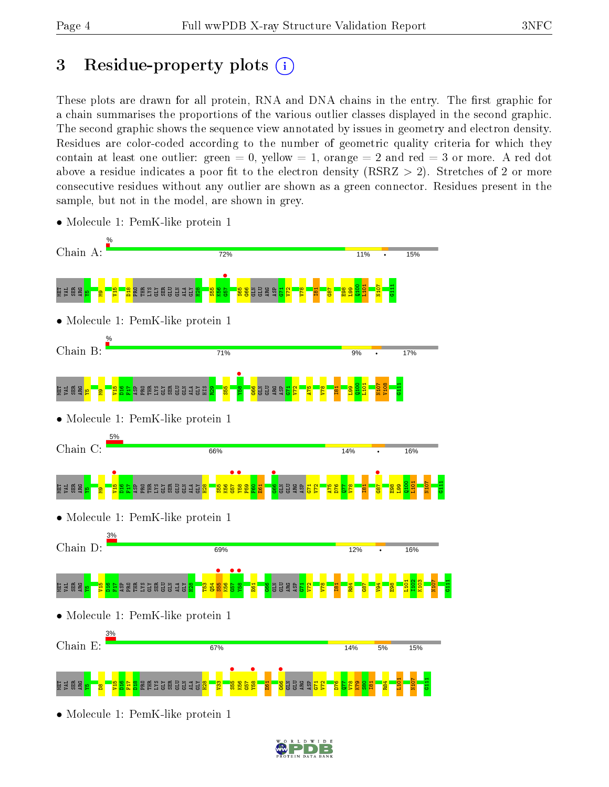# 3 Residue-property plots  $(i)$

These plots are drawn for all protein, RNA and DNA chains in the entry. The first graphic for a chain summarises the proportions of the various outlier classes displayed in the second graphic. The second graphic shows the sequence view annotated by issues in geometry and electron density. Residues are color-coded according to the number of geometric quality criteria for which they contain at least one outlier: green  $= 0$ , yellow  $= 1$ , orange  $= 2$  and red  $= 3$  or more. A red dot above a residue indicates a poor fit to the electron density ( $\text{RSRZ} > 2$ ). Stretches of 2 or more consecutive residues without any outlier are shown as a green connector. Residues present in the sample, but not in the model, are shown in grey.



• Molecule 1: PemK-like protein 1

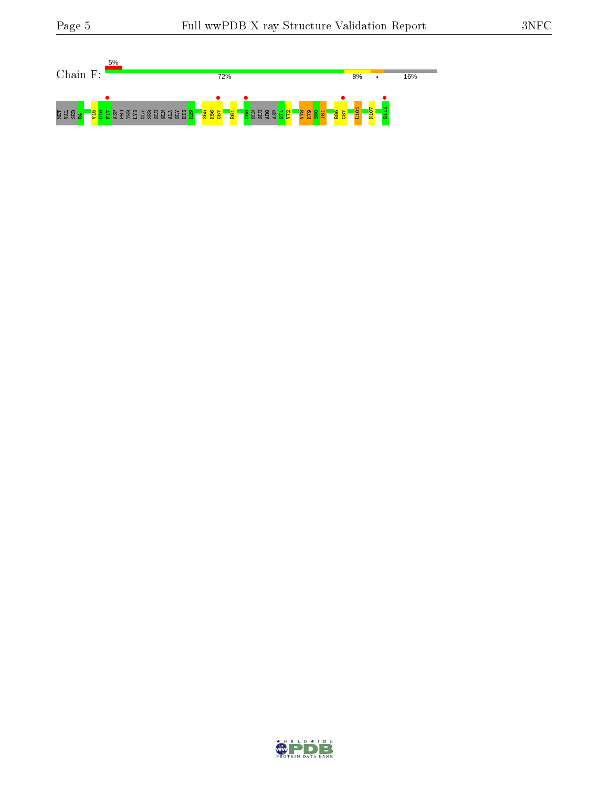

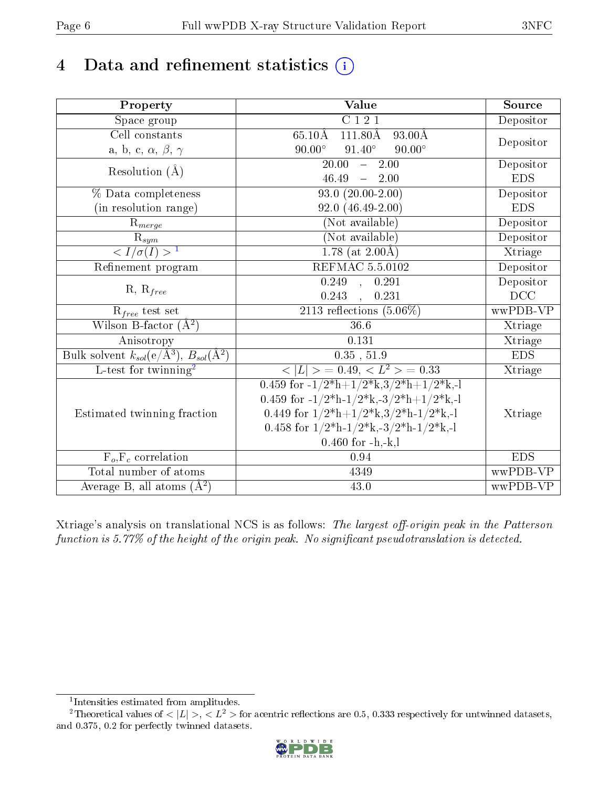# 4 Data and refinement statistics  $(i)$

| Property                                                             | <b>Value</b>                                                                                      | Source     |
|----------------------------------------------------------------------|---------------------------------------------------------------------------------------------------|------------|
| Space group                                                          | C121                                                                                              | Depositor  |
| Cell constants                                                       | $65.10\text{\AA}$<br>111.80Å<br>$93.00\text{\AA}$                                                 |            |
| a, b, c, $\alpha$ , $\beta$ , $\gamma$                               | $91.40^\circ$<br>$90.00^\circ$<br>$90.00^\circ$                                                   | Depositor  |
| Resolution $(\AA)$                                                   | $\overline{20.00}$<br>$\overline{2.00}$<br>$\frac{1}{2}$ .                                        | Depositor  |
|                                                                      | 46.49<br>$\frac{1}{2}$<br>2.00                                                                    | <b>EDS</b> |
| % Data completeness                                                  | $93.0(20.00-2.00)$                                                                                | Depositor  |
| (in resolution range)                                                | $92.0(46.49-2.00)$                                                                                | <b>EDS</b> |
| $R_{merge}$                                                          | (Not available)                                                                                   | Depositor  |
| $\frac{R_{sym}}{{}1}$                                                | (Not available)                                                                                   | Depositor  |
|                                                                      | 1.78 (at $2.00\text{\AA}$ )                                                                       | Xtriage    |
| Refinement program                                                   | <b>REFMAC 5.5.0102</b>                                                                            | Depositor  |
|                                                                      | $\overline{0.249}$ ,<br>0.291                                                                     | Depositor  |
| $R, R_{free}$                                                        | 0.243<br>, 0.231                                                                                  | DCC        |
| $\mathcal{R}_{free}$ test set                                        | 2113 reflections $(5.06\%)$                                                                       | wwPDB-VP   |
| Wilson B-factor $(A^2)$                                              | 36.6                                                                                              | Xtriage    |
| Anisotropy                                                           | $\overline{0.131}$                                                                                | Xtriage    |
| Bulk solvent $k_{sol}(e/\mathring{A}^3)$ , $B_{sol}(\mathring{A}^2)$ | $0.35$ , $51.9$                                                                                   | <b>EDS</b> |
| L-test for twinning <sup>2</sup>                                     | $< L >$ = 0.49, $< L2$ = 0.33                                                                     | Xtriage    |
|                                                                      | 0.459 for $-1/2$ <sup>*</sup> h+ $1/2$ <sup>*</sup> k,3/2 <sup>*</sup> h+ $1/2$ <sup>*</sup> k,-l |            |
|                                                                      | 0.459 for -1/2*h-1/2*k,-3/2*h+1/2*k,-l                                                            |            |
| Estimated twinning fraction                                          | 0.449 for $1/2^*h+1/2^*k$ , $3/2^*h-1/2^*k$ , -1                                                  | Xtriage    |
|                                                                      | 0.458 for $1/2^*h-1/2^*k,-3/2^*h-1/2^*k,-1$                                                       |            |
|                                                                      | $0.460$ for $-h,-k,l$                                                                             |            |
| $F_o, F_c$ correlation                                               | 0.94                                                                                              | <b>EDS</b> |
| Total number of atoms                                                | 4349                                                                                              | wwPDB-VP   |
| Average B, all atoms $(A^2)$                                         | $43.0\,$                                                                                          | wwPDB-VP   |

Xtriage's analysis on translational NCS is as follows: The largest off-origin peak in the Patterson function is  $5.77\%$  of the height of the origin peak. No significant pseudotranslation is detected.

<sup>&</sup>lt;sup>2</sup>Theoretical values of  $\langle |L| \rangle$ ,  $\langle L^2 \rangle$  for acentric reflections are 0.5, 0.333 respectively for untwinned datasets, and 0.375, 0.2 for perfectly twinned datasets.



<span id="page-5-1"></span><span id="page-5-0"></span><sup>1</sup> Intensities estimated from amplitudes.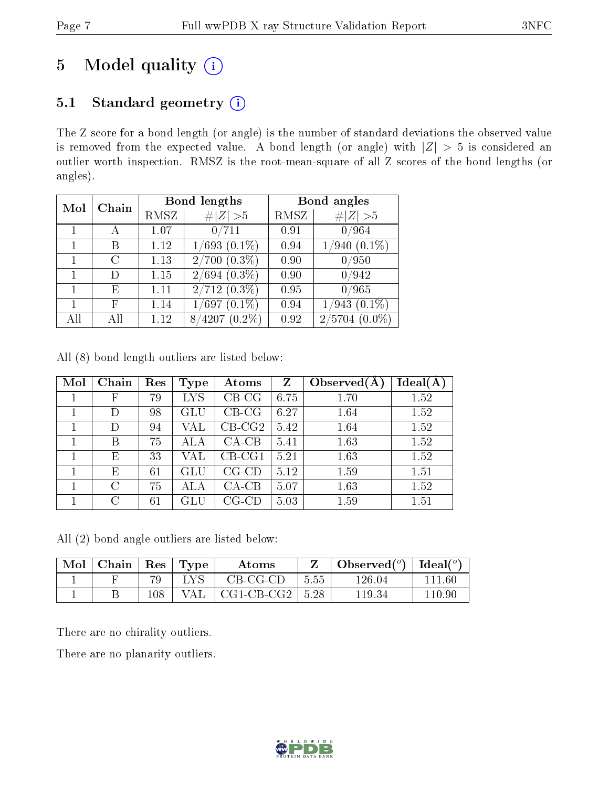# 5 Model quality  $(i)$

# 5.1 Standard geometry (i)

The Z score for a bond length (or angle) is the number of standard deviations the observed value is removed from the expected value. A bond length (or angle) with  $|Z| > 5$  is considered an outlier worth inspection. RMSZ is the root-mean-square of all Z scores of the bond lengths (or angles).

| Mol | Chain |      | Bond lengths           | Bond angles |                   |  |
|-----|-------|------|------------------------|-------------|-------------------|--|
|     |       | RMSZ | $\ Z\  > 5$            | RMSZ        | Z   > 5           |  |
|     |       | 1.07 | 0/711                  | 0.91        | 0/964             |  |
|     | В     | 1.12 | $1/693$ $(0.1\%)$      | 0.94        | $1/940$ $(0.1\%)$ |  |
|     | C     | 1.13 | $\sqrt{2/700 (0.3\%)}$ | 0.90        | 0/950             |  |
|     |       | 1.15 | $2/694$ $(0.3\%)$      | 0.90        | 0/942             |  |
|     | F,    | 1.11 | $2/712(0.3\%)$         | 0.95        | 0/965             |  |
|     | F     | 1.14 | $1/697(0.1\%)$         | 0.94        | $1/943$ $(0.1\%)$ |  |
| All |       | 1.12 | $8/4207(0.2\%)$        | 0.92        | 2/5704            |  |

|  |  |  |  | All (8) bond length outliers are listed below: |  |  |  |
|--|--|--|--|------------------------------------------------|--|--|--|
|--|--|--|--|------------------------------------------------|--|--|--|

| Mol | Chain | Res | <b>Type</b>          | Atoms       | $\mathbf{Z}$ | Observed $(A)$ | Ideal(A) |
|-----|-------|-----|----------------------|-------------|--------------|----------------|----------|
|     | F     | 79  | <b>LYS</b>           | $CB-CG$     | 6.75         | 1.70           | 1.52     |
|     |       | 98  | GLU                  | $CB-CG$     | 6.27         | 1.64           | 1.52     |
|     | D     | 94  | VAL                  | $CB-CG2$    | 5.42         | 1.64           | 1.52     |
|     | В     | 75  | ALA                  | $CA-CB$     | 5.41         | 1.63           | 1.52     |
|     | Ε     | 33  | VAL                  | $CB-CG1$    | 5.21         | 1.63           | 1.52     |
|     | Ε     | 61  | $\operatorname{GLU}$ | $CG$ - $CD$ | 5.12         | 1.59           | 1.51     |
|     | C     | 75  | ALA                  | $CA-CB$     | 5.07         | 1.63           | 1.52     |
|     | C     | 61  | ${\rm GLU}$          | $CG$ - $CD$ | 5.03         | 1.59           | 1.51     |

All (2) bond angle outliers are listed below:

| Mol | Chain | $\operatorname{Res}$ | Type | Atoms        |      | Observed $(°)$ | Ideal $(°)$ |
|-----|-------|----------------------|------|--------------|------|----------------|-------------|
|     |       | 70                   |      | $CB-CG-CD$   | 5.55 | $126.04\,$     | 111 GC      |
|     |       | $108\,$              | ΆL   | $CG1-CB-CG2$ | 5.28 | 119.34         | 110.96      |

There are no chirality outliers.

There are no planarity outliers.

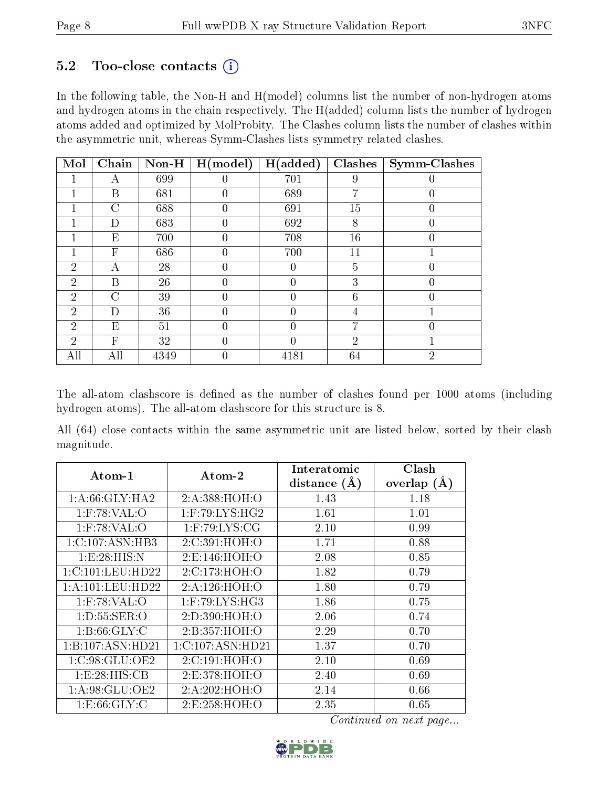# $5.2$  Too-close contacts  $(i)$

In the following table, the Non-H and H(model) columns list the number of non-hydrogen atoms and hydrogen atoms in the chain respectively. The H(added) column lists the number of hydrogen atoms added and optimized by MolProbity. The Clashes column lists the number of clashes within the asymmetric unit, whereas Symm-Clashes lists symmetry related clashes.

| Mol            | Chain          | $Non-H$ | H (model) | $\mathbf{A}$ (added)<br>н | Clashes        | Symm-Clashes   |
|----------------|----------------|---------|-----------|---------------------------|----------------|----------------|
|                | А              | 699     |           | 701                       | 9              |                |
|                | B              | 681     | O         | 689                       | 7              |                |
|                | $\rm C$        | 688     | 0         | 691                       | 15             | $\theta$       |
|                | D              | 683     | 0         | 692                       | 8              | $\theta$       |
|                | E              | 700     | O         | 708                       | 16             | $\theta$       |
|                | $\overline{F}$ | 686     | 0         | 700                       | 11             |                |
| $\overline{2}$ | Α              | 28      | O         | 0                         | 5              | $\overline{0}$ |
| $\overline{2}$ | В              | 26      |           | 0                         | 3              |                |
| $\overline{2}$ | $\overline{C}$ | 39      | 0         | 0                         | 6              | $\theta$       |
| $\overline{2}$ | D              | 36      | 0         | $\overline{0}$            | 4              |                |
| $\overline{2}$ | E              | 51      |           | 0                         | 7              |                |
| $\overline{2}$ | F              | 32      | O         | 0                         | $\overline{2}$ |                |
| All            | All            | 4349    | 0         | 4181                      | 64             | $\overline{2}$ |

The all-atom clashscore is defined as the number of clashes found per 1000 atoms (including hydrogen atoms). The all-atom clashscore for this structure is 8.

All (64) close contacts within the same asymmetric unit are listed below, sorted by their clash magnitude.

| Atom-1               | $\boldsymbol{\mathrm{Atom}\text{-}2}$ | Interatomic<br>distance $(A)$ | Clash<br>overlap<br>(A) |
|----------------------|---------------------------------------|-------------------------------|-------------------------|
| 1: A:66: GLY:HA2     | 2:A:388:HOH:O                         | 1.43                          | 1.18                    |
| $1:$ F:78:VAL:O      | $1:$ F:79:LYS:HG2                     | 1.61                          | 1.01                    |
| $1:$ F:78:VAL:O      | $1:$ F:79:LYS:CG                      | 2.10                          | 0.99                    |
| 1: C: 107: ASN: HB3  | 2:C:391:HOH:O                         | 1.71                          | 0.88                    |
| 1:E:28:HIS:N         | 2:E:146:HOH:O                         | 2.08                          | 0.85                    |
| 1:C:101:LEU:HD22     | 2: C: 173: HOH:O                      | 1.82                          | 0.79                    |
| 1: A: 101: LEU: HD22 | 2:A:126:HOH:O                         | 1.80                          | 0.79                    |
| $1:$ F:78:VAL:O      | $1:$ F:79:LYS:HG3                     | 1.86                          | 0.75                    |
| 1: D: 55: SER: O     | 2:D:390:HOH:O                         | 2.06                          | 0.74                    |
| 1: B:66: GLY: C      | 2: B: 357: HOH: O                     | 2.29                          | 0.70                    |
| 1:B:107:ASN:HD21     | 1:C:107:ASN:HD21                      | 1.37                          | 0.70                    |
| 1:C:98:GLU:OE2       | 2:C:191:HOH:O                         | 2.10                          | 0.69                    |
| 1:E:28:HIS:CB        | 2:E:378:HOH:O                         | 2.40                          | 0.69                    |
| 1:A:98:GLU:OE2       | 2:A:202:HOH:O                         | 2.14                          | 0.66                    |
| 1: E:66: GLY: C      | 2:E:258:HOH:O                         | 2.35                          | 0.65                    |

Continued on next page...

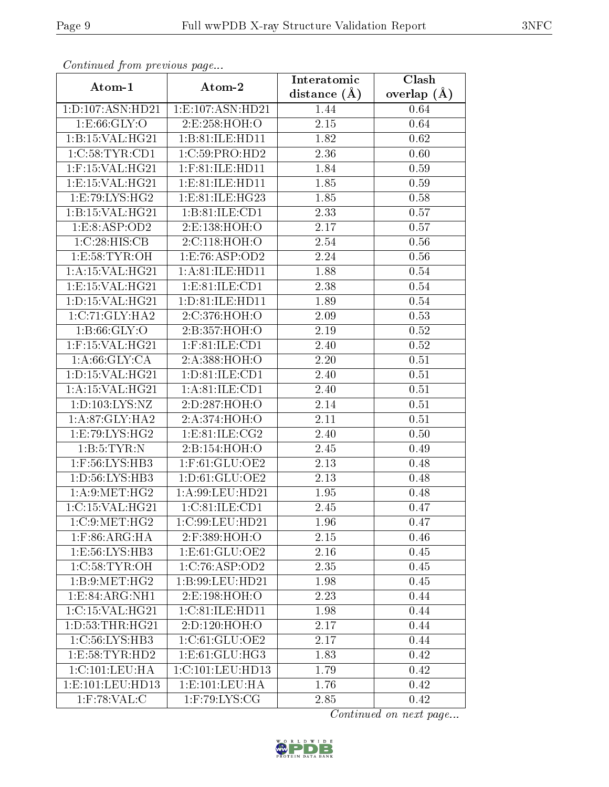| Continuata from previous page |                                | Interatomic    | $\overline{\text{Clash}}$ |  |
|-------------------------------|--------------------------------|----------------|---------------------------|--|
| Atom-1                        | Atom-2                         | distance $(A)$ | overlap $(A)$             |  |
| 1:D:107:ASN:HD21              | 1:E:107:ASN:HD21               | 1.44           | 0.64                      |  |
| 1: E:66: GLY:O                | 2:E:258:HOH:O                  | 2.15           | 0.64                      |  |
| 1:B:15:VAL:HG21               | 1:B:81:ILE:HD11                | 1.82           | 0.62                      |  |
| 1:C:58:TYR:CD1                | 1:C:59:PRO:HD2                 | 2.36           | 0.60                      |  |
| $1:$ F:15:VAL:HG21            | $1:$ F:81:ILE:HD11             | 1.84           | 0.59                      |  |
| 1: E: 15: VAL: HG21           | 1: E: 81: ILE: HD11            | 1.85           | 0.59                      |  |
| 1: E: 79: LYS: HG2            | 1:E:81:ILE:HG23                | 1.85           | 0.58                      |  |
| 1:B:15:VAL:HG21               | 1:B:81:ILE:CD1                 | 2.33           | 0.57                      |  |
| 1: E: 8: ASP: OD2             | 2:E:138:HOH:O                  | 2.17           | 0.57                      |  |
| 1:C:28:HIS:CB                 | 2:C:118:HOH:O                  | 2.54           | 0.56                      |  |
| 1: E:58: TYR:OH               | 1:E:76:ASP:OD2                 | 2.24           | 0.56                      |  |
| 1: A:15: VAL:HG21             | 1:A:81:ILE:HD11                | 1.88           | $0.54\,$                  |  |
| 1: E: 15: VAL: HG21           | 1: E:81: ILE: CD1              | 2.38           | 0.54                      |  |
| 1: D: 15: VAL:HG21            | 1: D: 81: ILE: HD11            | 1.89           | 0.54                      |  |
| 1:C:71:GLY:HA2                | 2:C:376:HOH:O                  | 2.09           | 0.53                      |  |
| 1: B:66: GLY:O                | 2:B:357:HOH:O                  | 2.19           | 0.52                      |  |
| $1:$ F:15:VAL:HG21            | $1:$ F:81:ILE:CD1              | 2.40           | 0.52                      |  |
| 1: A:66: GLY:CA               | 2:A:388:HOH:O                  | 2.20           | 0.51                      |  |
| 1:D:15:VAL:HG21               | 1: D:81: ILE: CD1              | 2.40           | 0.51                      |  |
| 1: A:15: VAL:HG21             | 1: A:81: ILE: CD1              | 2.40           | 0.51                      |  |
| 1: D: 103: LYS: NZ            | 2:D:287:HOH:O                  | 2.14           | 0.51                      |  |
| 1: A:87: GLY: HA2             | 2:A:374:HOH:O                  | 2.11           | 0.51                      |  |
| 1:E:79:LYS:HG2                | 1: E:81: ILE: CG2              | 2.40           | 0.50                      |  |
| 1: B: 5: TYR: N               | 2:B:154:HOH:O                  | 2.45           | 0.49                      |  |
| 1:F:56:LYS:HB3                | 1:F:61:GLU:OE2                 | 2.13           | 0.48                      |  |
| 1: D: 56: LYS: HB3            | 1: D: 61: GLU: OE2             | 2.13           | 0.48                      |  |
| 1: A:9: MET:HG2               | 1: A:99: LEU: HD21             | 1.95           | 0.48                      |  |
| 1:C:15:VAL:HG21               | 1:C:81:ILE:CD1                 | 2.45           | 0.47                      |  |
| 1:C:9:MET:HG2                 | 1:C:99:LEU:HD21                | 1.96           | 0.47                      |  |
| $1:$ F:86:ARG:HA              | 2:F:389:HOH:O                  | 2.15           | 0.46                      |  |
| 1:E:56:LYS:HB3                | $1: E: 61: \overline{GLU:OE2}$ | 2.16           | 0.45                      |  |
| 1:C:58:TYR:OH                 | 1:C:76:ASP:OD2                 | 2.35           | 0.45                      |  |
| 1:B:9:MET:HG2                 | 1:B:99:LEU:HD21                | 1.98           | 0.45                      |  |
| 1:E:84:ARG:NH1                | 2:E:198:HOH:O                  | 2.23           | 0.44                      |  |
| 1:C:15:VAL:HG21               | 1:C:81:ILE:HD11                | 1.98           | 0.44                      |  |
| 1: D: 53: THR: HG21           | 2:D:120:HOH:O                  | 2.17           | 0.44                      |  |
| 1:C:56:LYS:HB3                | 1:C:61:GLU:OE2                 | 2.17           | 0.44                      |  |
| 1: E:58: TYR: HD2             | 1: E: 61: GLU: HG3             | 1.83           | 0.42                      |  |
| 1: C: 101: LEU: HA            | 1:C:101:LEU:HD13               | 1.79           | 0.42                      |  |
| 1:E:101:EU:HD13               | 1: E: 101: LEU: HA             | 1.76           | 0.42                      |  |
| $1:$ F:78:VAL:C               | $1:$ F:79:LYS:CG               | 2.85           | 0.42                      |  |

Continued from previous page.

Continued on next page...

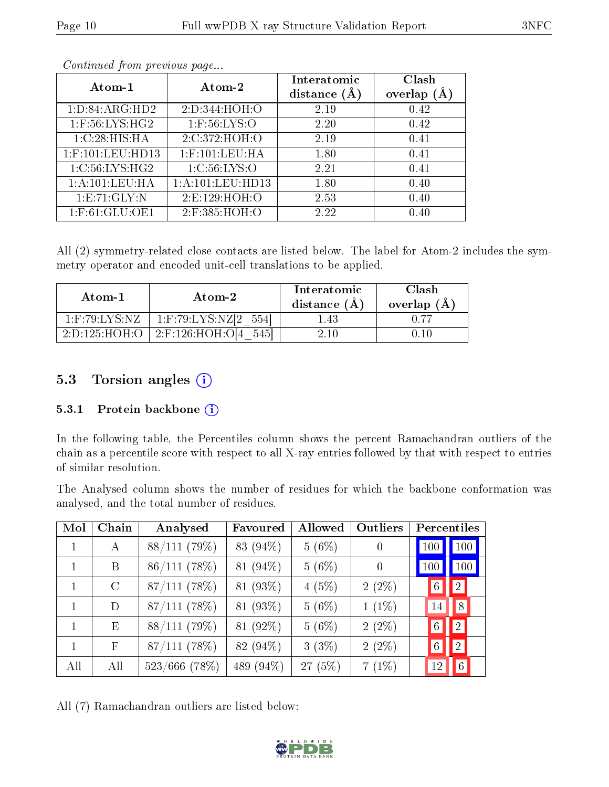|--|

| Atom-1            | Atom-2               | Interatomic<br>distance $(A)$ | Clash<br>overlap $(A)$ |
|-------------------|----------------------|-------------------------------|------------------------|
| 1: D:84: ARG:HD2  | 2:D:344:HOH:O        | 2.19                          | 0.42                   |
| $1:$ F:56:LYS:HG2 | $1:$ F:56:LYS:O      | 2.20                          | 0.42                   |
| 1:C:28:HIS:HA     | 2:C:372:HOH:O        | 2.19                          | 0.41                   |
| 1:F:101:LEU:HD13  | $1:$ F:101:LEU:HA    | 1.80                          | 0.41                   |
| 1:C:56:LYS:HG2    | 1:C:56:LYS:O         | 2.21                          | 0.41                   |
| 1:A:101:LEU:HA    | 1: A: 101: LEU: HD13 | 1.80                          | 0.40                   |
| 1: E: 71: GLY: N  | 2:E:129:HOH:O        | 2.53                          | 0.40                   |
| $1:$ F:61:GLU:OE1 | 2:F:385:HOH:O        | 2.22                          | 0.40                   |

Continued from previous page...

All (2) symmetry-related close contacts are listed below. The label for Atom-2 includes the symmetry operator and encoded unit-cell translations to be applied.

| Atom-1                                         | Atom-2                   | Interatomic<br>distance $(A)$ | Clash<br>overlap $(A)$ |
|------------------------------------------------|--------------------------|-------------------------------|------------------------|
| $1:$ F:79:LYS:NZ                               | $1:$ F:79:LYS:NZ[2 554]  | l 43                          |                        |
| $2\,\mathrm{D}\,125\,\mathrm{HOH}\,\mathrm{O}$ | 2:F:126:HOH:O[4]<br>5451 | 2.10                          |                        |

# 5.3 Torsion angles (i)

#### 5.3.1 Protein backbone (i)

In the following table, the Percentiles column shows the percent Ramachandran outliers of the chain as a percentile score with respect to all X-ray entries followed by that with respect to entries of similar resolution.

The Analysed column shows the number of residues for which the backbone conformation was analysed, and the total number of residues.

| Mol | Chain         | Analysed        | Favoured  | Allowed   | Outliers         | <b>Percentiles</b> |                  |
|-----|---------------|-----------------|-----------|-----------|------------------|--------------------|------------------|
|     | A             | 88/111(79%)     | 83 (94%)  | 5(6%)     | $\boldsymbol{0}$ | 100                | 100              |
|     | B             | 86/111(78%)     | 81 (94%)  | 5(6%)     | $\theta$         | 100                | 100              |
|     | $\mathcal{C}$ | $87/111$ (78%)  | 81 (93%)  | 4(5%)     | $2(2\%)$         | $6\phantom{.}6$    | 2                |
| 1   | D             | $87/111$ (78%)  | 81 (93%)  | 5(6%)     | $1(1\%)$         | 14                 | 8                |
| 1   | E             | 88/111(79%)     | 81 (92%)  | 5(6%)     | $2(2\%)$         | $6\phantom{.}6$    | $\left 2\right $ |
| 1   | $\mathbf{F}$  | 87/111(78%)     | 82 (94%)  | 3(3%)     | $2(2\%)$         | $\,6\,$            | $\left 2\right $ |
| All | All           | $523/666$ (78%) | 489 (94%) | $27(5\%)$ | $7(1\%)$         | 12                 | 6                |

All (7) Ramachandran outliers are listed below:

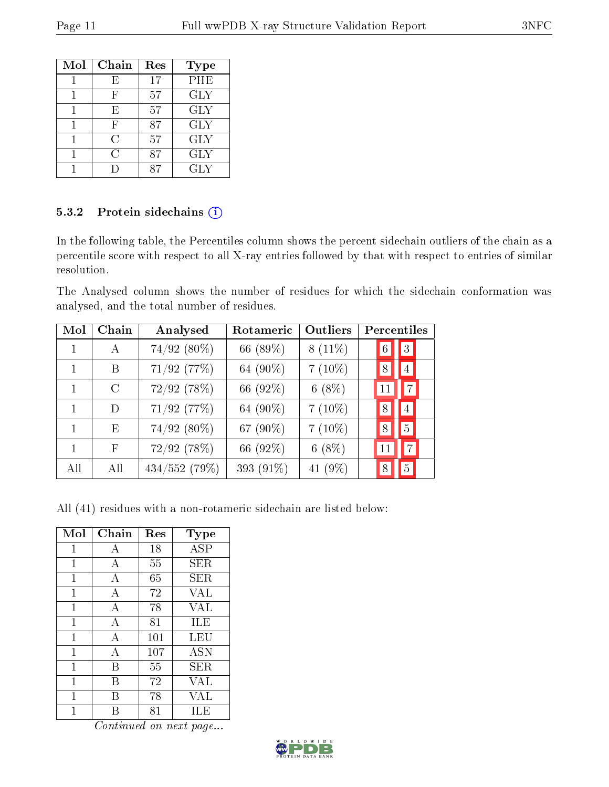| Mol | Chain | Res | Type       |
|-----|-------|-----|------------|
|     | E     | 17  | PHE        |
|     | F     | 57  | <b>GLY</b> |
|     | E     | 57  | <b>GLY</b> |
|     | F     | 87  | <b>GLY</b> |
|     | C     | 57  | <b>GLY</b> |
|     | C     | 87  | <b>GLY</b> |
|     |       |     | GLY        |

### 5.3.2 Protein sidechains (i)

In the following table, the Percentiles column shows the percent sidechain outliers of the chain as a percentile score with respect to all X-ray entries followed by that with respect to entries of similar resolution.

The Analysed column shows the number of residues for which the sidechain conformation was analysed, and the total number of residues.

| Mol | Chain   | Analysed      | Rotameric | Outliers  | Percentiles |                |
|-----|---------|---------------|-----------|-----------|-------------|----------------|
|     | A       | 74/92 (80%)   | 66 (89%)  | $8(11\%)$ | 6           | $\overline{3}$ |
|     | В       | 71/92 (77%)   | 64 (90%)  | $7(10\%)$ | 8           | $\overline{4}$ |
|     | $\rm C$ | 72/92 (78%)   | 66 (92%)  | $6(8\%)$  | 11          | 7              |
| 1   | D       | $71/92$ (77%) | 64 (90%)  | $7(10\%)$ | 8           | $\overline{4}$ |
| 1   | Ε       | 74/92 (80%)   | 67 (90%)  | $7(10\%)$ | 8           | $\overline{5}$ |
| 1   | F       | 72/92 (78%)   | 66 (92%)  | $6(8\%)$  |             | $\overline{7}$ |
| All | All     | 434/552(79%)  | 393 (91%) | 41 (9%)   | 8           | $\overline{5}$ |

All (41) residues with a non-rotameric sidechain are listed below:

| Mol          | Chain          | Res | $_{\rm Type}$ |
|--------------|----------------|-----|---------------|
| 1            | А              | 18  | <b>ASP</b>    |
| $\mathbf{1}$ | А              | 55  | SER           |
| 1            | А              | 65  | SER           |
| 1            | А              | 72  | VAL           |
| 1            | $\overline{A}$ | 78  | VAL           |
| 1            | А              | 81  | ILE           |
| 1            | А              | 101 | LEU           |
| 1            | А              | 107 | <b>ASN</b>    |
| 1            | В              | 55  | ${\rm SER}$   |
| 1            | R              | 72  | VAL           |
| 1            | R              | 78  | VAL           |
| 1            |                | 81  | ILE           |

Continued on next page...

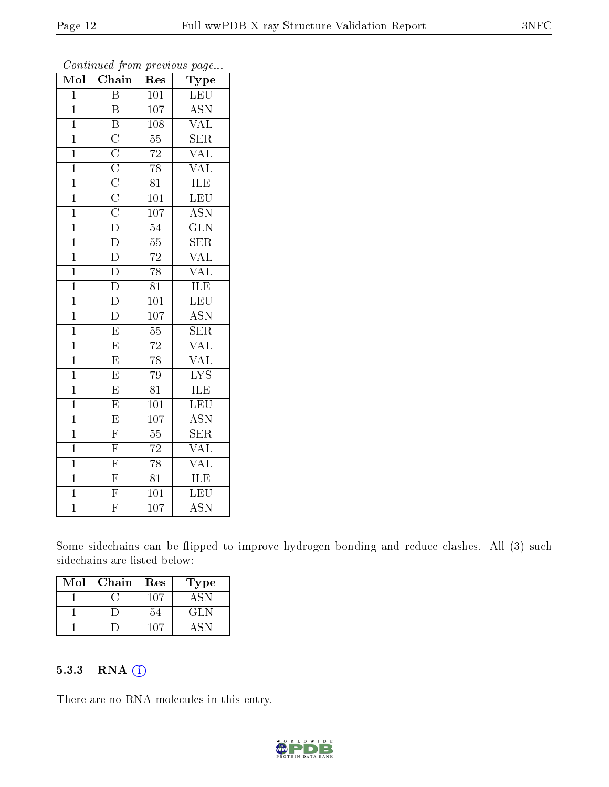| Mol            | $\overline{\text{C}}$ hain                                                                                                                                | $\operatorname{Res}% \left( \mathcal{N}\right) \equiv\operatorname{Res}(\mathcal{N}_{0})\left( \mathcal{N}_{0}\right) ^{2}$ | Type                      |
|----------------|-----------------------------------------------------------------------------------------------------------------------------------------------------------|-----------------------------------------------------------------------------------------------------------------------------|---------------------------|
| $\overline{1}$ | $\overline{\mathrm{B}}$                                                                                                                                   | $\overline{101}$                                                                                                            | <b>LEU</b>                |
| $\mathbf 1$    | $\overline{\mathrm{B}}$                                                                                                                                   | $\overline{107}$                                                                                                            | $\overline{\mathrm{ASN}}$ |
| $\overline{1}$ | $\overline{\mathrm{B}}$                                                                                                                                   | 108                                                                                                                         | $\rm \overline{VAL}$      |
| $\mathbf 1$    |                                                                                                                                                           | $\overline{55}$                                                                                                             | $\overline{\text{SER}}$   |
| $\overline{1}$ |                                                                                                                                                           | $\overline{72}$                                                                                                             | <b>VAL</b>                |
| $\mathbf 1$    |                                                                                                                                                           | $\overline{78}$                                                                                                             | $\overline{\text{VAL}}$   |
| $\overline{1}$ |                                                                                                                                                           | $8\overline{1}$                                                                                                             | <b>ILE</b>                |
| $\overline{1}$ |                                                                                                                                                           | 101                                                                                                                         | LEU                       |
| $\overline{1}$ | $\overline{\text{C}}$ $\overline{\text{C}}$ $\overline{\text{C}}$ $\overline{\text{C}}$ $\overline{\text{C}}$ $\overline{\text{C}}$ $\overline{\text{D}}$ | $\overline{10}$                                                                                                             | $\overline{\mathrm{ASN}}$ |
| $\overline{1}$ |                                                                                                                                                           | $\overline{54}$                                                                                                             | $\overline{\text{GLN}}$   |
| $\overline{1}$ | $\overline{\mathrm{D}}$                                                                                                                                   | $\overline{55}$                                                                                                             | $\overline{\text{SER}}$   |
| $\overline{1}$ | $\overline{\rm D}$                                                                                                                                        | $\overline{72}$                                                                                                             | $\overline{\text{VAL}}$   |
| $\overline{1}$ | $\overline{\rm D}$                                                                                                                                        | $\overline{78}$                                                                                                             | $\overline{\text{VAL}}$   |
| $\mathbf{1}$   | $\overline{\rm D}$                                                                                                                                        | $\overline{81}$                                                                                                             | <b>ILE</b>                |
| $\overline{1}$ | $\overline{\rm D}$                                                                                                                                        | $\overline{101}$                                                                                                            | $\overline{\text{LEU}}$   |
| $\overline{1}$ | $\overline{\rm D}$                                                                                                                                        | $\overline{107}$                                                                                                            | $\overline{\text{ASN}}$   |
| $\overline{1}$ | $\overline{\mathrm{E}}$                                                                                                                                   | $\overline{55}$                                                                                                             | $\overline{\text{SER}}$   |
| $\mathbf{1}$   | $\overline{\mathrm{E}}$                                                                                                                                   | 72                                                                                                                          | $\overline{\text{VAL}}$   |
| $\overline{1}$ | $\overline{E}$                                                                                                                                            | $\overline{78}$                                                                                                             | $\overline{\text{VAL}}$   |
| $\overline{1}$ | $\overline{\mathrm{E}}$                                                                                                                                   | 79                                                                                                                          | $\overline{\text{LYS}}$   |
| $\overline{1}$ | $\overline{E}$                                                                                                                                            | $\overline{81}$                                                                                                             | ILE                       |
| $\mathbf{1}$   | $\overline{\mathrm{E}}$                                                                                                                                   | $\overline{101}$                                                                                                            | $\overline{\text{LEU}}$   |
| $\mathbf 1$    | $\overline{E}$                                                                                                                                            | 107                                                                                                                         | $\overline{\mathrm{ASN}}$ |
| $\overline{1}$ | $\overline{\mathrm{F}}$                                                                                                                                   | $\overline{55}$                                                                                                             | $\overline{\text{SER}}$   |
| $\mathbf 1$    | $\overline{F}$                                                                                                                                            | $\overline{72}$                                                                                                             | <b>VAL</b>                |
| $\overline{1}$ | $\overline{F}$                                                                                                                                            | $\overline{78}$                                                                                                             | $\overline{\text{VAL}}$   |
| $\overline{1}$ | $\overline{\mathrm{F}}$                                                                                                                                   | $\overline{81}$                                                                                                             | <b>ILE</b>                |
| $\mathbf 1$    | $\overline{F}$                                                                                                                                            | 101                                                                                                                         | $\overline{\text{LEU}}$   |
| $\mathbf 1$    | $\overline{\mathrm{F}}$                                                                                                                                   | $\overline{107}$                                                                                                            | $\overline{\mathrm{ASN}}$ |

Continued from previous page...

Some sidechains can be flipped to improve hydrogen bonding and reduce clashes. All (3) such sidechains are listed below:

| Mol | Chain | Res | Type |
|-----|-------|-----|------|
|     |       | 107 | ASN  |
|     |       |     | GL N |
|     |       | 107 |      |

### 5.3.3 RNA [O](https://www.wwpdb.org/validation/2017/XrayValidationReportHelp#rna)i

There are no RNA molecules in this entry.

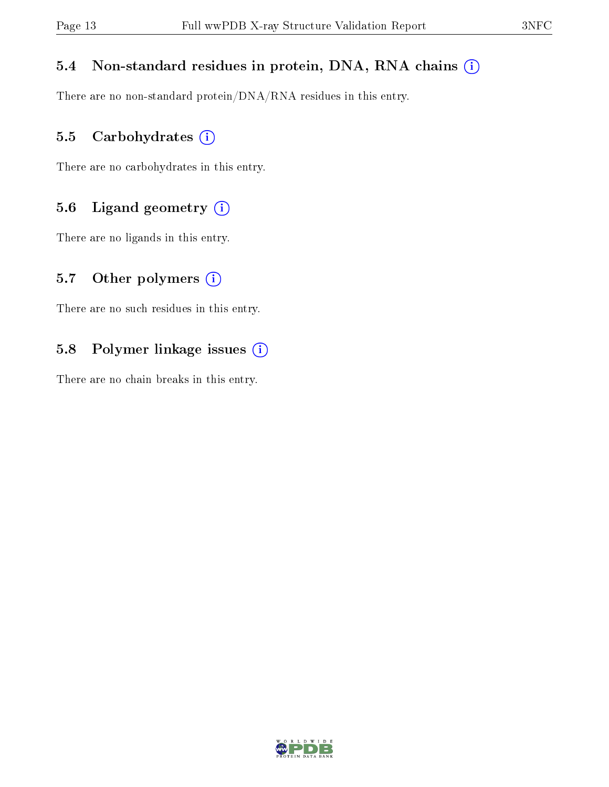# 5.4 Non-standard residues in protein, DNA, RNA chains (i)

There are no non-standard protein/DNA/RNA residues in this entry.

### 5.5 Carbohydrates (i)

There are no carbohydrates in this entry.

# 5.6 Ligand geometry (i)

There are no ligands in this entry.

### 5.7 [O](https://www.wwpdb.org/validation/2017/XrayValidationReportHelp#nonstandard_residues_and_ligands)ther polymers  $(i)$

There are no such residues in this entry.

# 5.8 Polymer linkage issues (i)

There are no chain breaks in this entry.

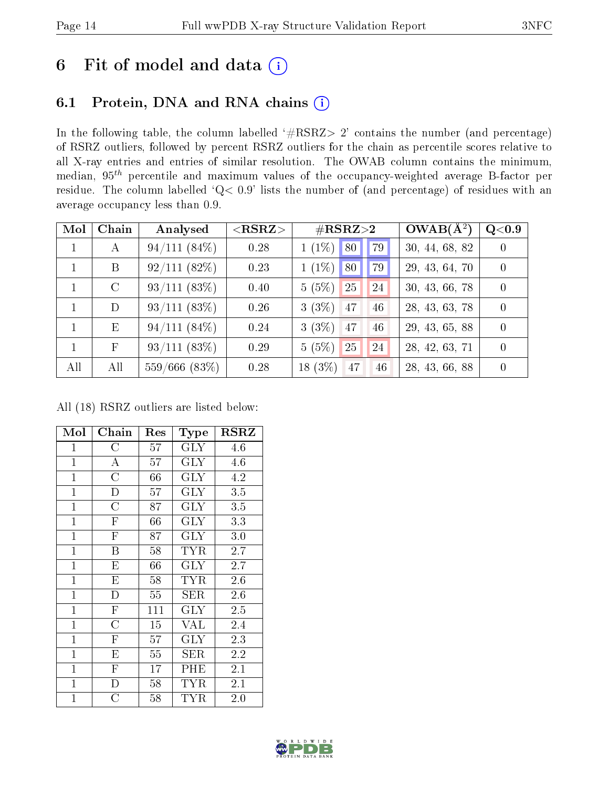# 6 Fit of model and data  $(i)$

# 6.1 Protein, DNA and RNA chains  $(i)$

In the following table, the column labelled  $#RSRZ> 2'$  contains the number (and percentage) of RSRZ outliers, followed by percent RSRZ outliers for the chain as percentile scores relative to all X-ray entries and entries of similar resolution. The OWAB column contains the minimum, median,  $95<sup>th</sup>$  percentile and maximum values of the occupancy-weighted average B-factor per residue. The column labelled ' $Q< 0.9$ ' lists the number of (and percentage) of residues with an average occupancy less than 0.9.

| Mol | Chain         | Analysed           | ${ <\hspace{-1.5pt}{\mathrm{RSRZ}} \hspace{-1.5pt}>}$ | $\#\text{RSRZ}{>}2$   | $OWAB(A^2)$    | $\rm Q\textcolor{black}{<}0.9$ |
|-----|---------------|--------------------|-------------------------------------------------------|-----------------------|----------------|--------------------------------|
|     | $\mathsf{A}$  | 94/111(84%)        | 0.28                                                  | $1(1\%)$<br>80<br>79  | 30, 44, 68, 82 | $\Omega$                       |
|     | B             | 92/111(82%)        | 0.23                                                  | $1(1\%)$<br>80<br>79  | 29, 43, 64, 70 | $\theta$                       |
|     | $\mathcal{C}$ | 93/111(83%)        | 0.40                                                  | 5(5%)<br>25<br>24     | 30, 43, 66, 78 | $\Omega$                       |
|     | D             | $93/111(83\%)$     | 0.26                                                  | 3(3%)<br>47<br>46     | 28, 43, 63, 78 | $\Omega$                       |
|     | E             | 94/111(84%)        | 0.24                                                  | $3(3\%)$<br>47<br>46  | 29, 43, 65, 88 | $\Omega$                       |
|     | $\mathbf{F}$  | 93/111(83%)        | 0.29                                                  | 5(5%)<br>25<br>24     | 28, 42, 63, 71 | $\Omega$                       |
| All | All           | $559/666$ $(83\%)$ | 0.28                                                  | $18(3\%)$<br>47<br>46 | 28, 43, 66, 88 | $\Omega$                       |

All (18) RSRZ outliers are listed below:

| Mol            | Chain                   | $\operatorname{Res}% \left( \mathcal{N}\right) \equiv\operatorname{Res}(\mathcal{N}_{0})\cap\mathcal{N}_{1}$ | Type                    | <b>RSRZ</b>      |
|----------------|-------------------------|--------------------------------------------------------------------------------------------------------------|-------------------------|------------------|
| $\mathbf{1}$   | $\rm{C}$                | 57                                                                                                           | <b>GLY</b>              | 4.6              |
| $\mathbf{1}$   | $\overline{\rm A}$      | 57                                                                                                           | $\overline{\text{GLY}}$ | 4.6              |
| $\overline{1}$ | $\overline{\rm C}$      | 66                                                                                                           | $\overline{\text{GLY}}$ | 4.2              |
| $\overline{1}$ | $\overline{\mathrm{D}}$ | 57                                                                                                           | <b>GLY</b>              | 3.5              |
| $\mathbf{1}$   | $\overline{\rm C}$      | 87                                                                                                           | <b>GLY</b>              | $\overline{3.5}$ |
| $\overline{1}$ | $\overline{\mathrm{F}}$ | 66                                                                                                           | <b>GLY</b>              | 3.3              |
| $\mathbf{1}$   | $\overline{\mathrm{F}}$ | 87                                                                                                           | <b>GLY</b>              | 3.0              |
| $\mathbf{1}$   | B                       | 58                                                                                                           | TYR                     | 2.7              |
| $\mathbf{1}$   | E                       | 66                                                                                                           | $\rm GLY$               | 2.7              |
| $\mathbf{1}$   | E                       | 58                                                                                                           | TYR                     | 2.6              |
| $\mathbf{1}$   | D                       | 55                                                                                                           | SER                     | 2.6              |
| $\mathbf{1}$   | $\overline{\mathrm{F}}$ | 111                                                                                                          | $\rm GLY$               | $2.5\,$          |
| $\mathbf{1}$   | $\overline{C}$          | 15                                                                                                           | VAL                     | 2.4              |
| $\mathbf{1}$   | $\mathbf F$             | 57                                                                                                           | $\rm GLY$               | 2.3              |
| $\mathbf{1}$   | E                       | 55                                                                                                           | SER                     | 2.2              |
| $\overline{1}$ | $\overline{F}$          | 17                                                                                                           | PHE                     | 2.1              |
| $\overline{1}$ | $\overline{\rm D}$      | 58                                                                                                           | TYR                     | 2.1              |
| $\mathbf{1}$   | $\overline{C}$          | 58                                                                                                           | <b>TYR</b>              | 2.0              |